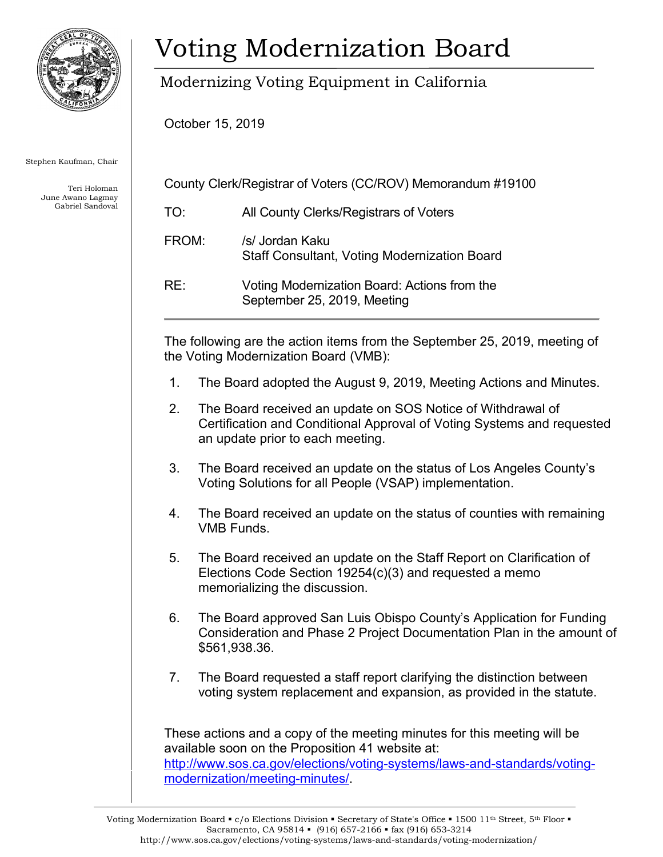

Stephen Kaufman, Chair

Teri Holoman June Awano Lagmay Gabriel Sandoval

## Voting Modernization Board

Modernizing Voting Equipment in California

October 15, 2019

| County Clerk/Registrar of Voters (CC/ROV) Memorandum #19100 |                                                                        |
|-------------------------------------------------------------|------------------------------------------------------------------------|
| TO:                                                         | All County Clerks/Registrars of Voters                                 |
| FROM:                                                       | /s/ Jordan Kaku<br><b>Staff Consultant, Voting Modernization Board</b> |
|                                                             |                                                                        |

RE: Voting Modernization Board: Actions from the September 25, 2019, Meeting

The following are the action items from the September 25, 2019, meeting of the Voting Modernization Board (VMB):

- 1. The Board adopted the August 9, 2019, Meeting Actions and Minutes.
- 2. The Board received an update on SOS Notice of Withdrawal of Certification and Conditional Approval of Voting Systems and requested an update prior to each meeting.
- 3. The Board received an update on the status of Los Angeles County's Voting Solutions for all People (VSAP) implementation.
- 4. The Board received an update on the status of counties with remaining VMB Funds.
- 5. The Board received an update on the Staff Report on Clarification of Elections Code Section 19254(c)(3) and requested a memo memorializing the discussion.
- 6. The Board approved San Luis Obispo County's Application for Funding Consideration and Phase 2 Project Documentation Plan in the amount of \$561,938.36.
- 7. The Board requested a staff report clarifying the distinction between voting system replacement and expansion, as provided in the statute.

These actions and a copy of the meeting minutes for this meeting will be available soon on the Proposition 41 website at: [http://www.sos.ca.gov/elections/voting-systems/laws-and-standards/voting](http://www.sos.ca.gov/elections/voting-systems/laws-and-standards/voting-modernization/meeting-minutes/)[modernization/meeting-minutes/.](http://www.sos.ca.gov/elections/voting-systems/laws-and-standards/voting-modernization/meeting-minutes/)